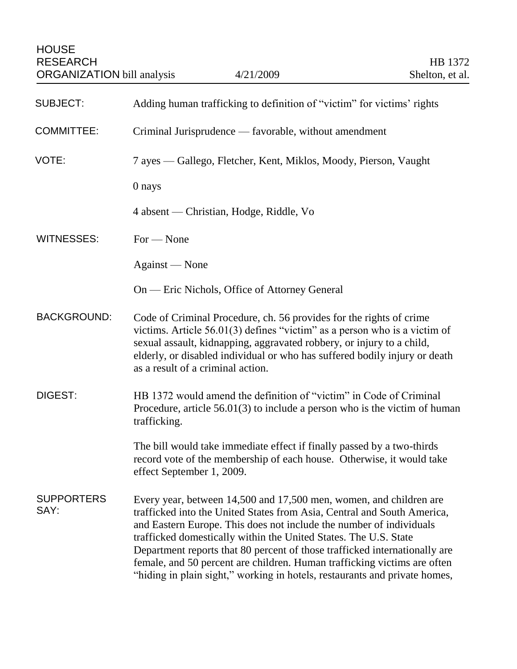HOUSE RESEARCH HB 1372 ORGANIZATION bill analysis  $4/21/2009$  Shelton, et al.

| <b>SUBJECT:</b>           | Adding human trafficking to definition of "victim" for victims' rights                                                                                                                                                                                                                                                                                                                                                                                                                                                           |
|---------------------------|----------------------------------------------------------------------------------------------------------------------------------------------------------------------------------------------------------------------------------------------------------------------------------------------------------------------------------------------------------------------------------------------------------------------------------------------------------------------------------------------------------------------------------|
| <b>COMMITTEE:</b>         | Criminal Jurisprudence — favorable, without amendment                                                                                                                                                                                                                                                                                                                                                                                                                                                                            |
| VOTE:                     | 7 ayes - Gallego, Fletcher, Kent, Miklos, Moody, Pierson, Vaught                                                                                                                                                                                                                                                                                                                                                                                                                                                                 |
|                           | 0 nays                                                                                                                                                                                                                                                                                                                                                                                                                                                                                                                           |
|                           | 4 absent — Christian, Hodge, Riddle, Vo                                                                                                                                                                                                                                                                                                                                                                                                                                                                                          |
| <b>WITNESSES:</b>         | $For - None$                                                                                                                                                                                                                                                                                                                                                                                                                                                                                                                     |
|                           | Against — None                                                                                                                                                                                                                                                                                                                                                                                                                                                                                                                   |
|                           | On — Eric Nichols, Office of Attorney General                                                                                                                                                                                                                                                                                                                                                                                                                                                                                    |
| <b>BACKGROUND:</b>        | Code of Criminal Procedure, ch. 56 provides for the rights of crime<br>victims. Article $56.01(3)$ defines "victim" as a person who is a victim of<br>sexual assault, kidnapping, aggravated robbery, or injury to a child,<br>elderly, or disabled individual or who has suffered bodily injury or death<br>as a result of a criminal action.                                                                                                                                                                                   |
| <b>DIGEST:</b>            | HB 1372 would amend the definition of "victim" in Code of Criminal<br>Procedure, article $56.01(3)$ to include a person who is the victim of human<br>trafficking.                                                                                                                                                                                                                                                                                                                                                               |
|                           | The bill would take immediate effect if finally passed by a two-thirds<br>record vote of the membership of each house. Otherwise, it would take<br>effect September 1, 2009.                                                                                                                                                                                                                                                                                                                                                     |
| <b>SUPPORTERS</b><br>SAY: | Every year, between 14,500 and 17,500 men, women, and children are<br>trafficked into the United States from Asia, Central and South America,<br>and Eastern Europe. This does not include the number of individuals<br>trafficked domestically within the United States. The U.S. State<br>Department reports that 80 percent of those trafficked internationally are<br>female, and 50 percent are children. Human trafficking victims are often<br>"hiding in plain sight," working in hotels, restaurants and private homes, |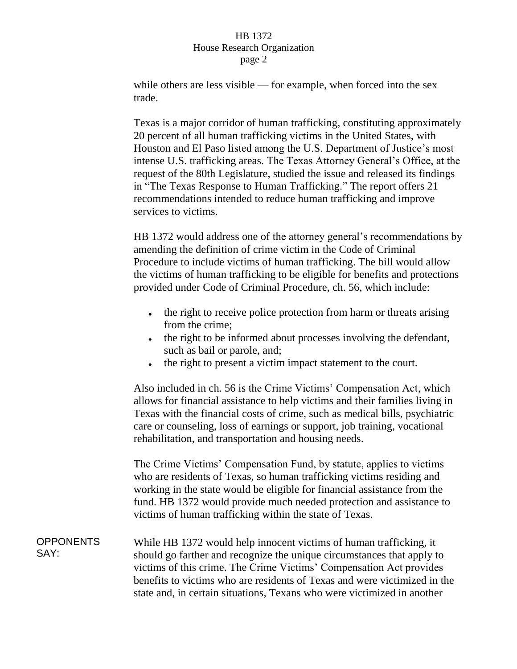## HB 1372 House Research Organization page 2

while others are less visible — for example, when forced into the sex trade.

Texas is a major corridor of human trafficking, constituting approximately 20 percent of all human trafficking victims in the United States, with Houston and El Paso listed among the U.S. Department of Justice's most intense U.S. trafficking areas. The Texas Attorney General's Office, at the request of the 80th Legislature, studied the issue and released its findings in "The Texas Response to Human Trafficking." The report offers 21 recommendations intended to reduce human trafficking and improve services to victims.

HB 1372 would address one of the attorney general's recommendations by amending the definition of crime victim in the Code of Criminal Procedure to include victims of human trafficking. The bill would allow the victims of human trafficking to be eligible for benefits and protections provided under Code of Criminal Procedure, ch. 56, which include:

- the right to receive police protection from harm or threats arising  $\bullet$ from the crime;
- the right to be informed about processes involving the defendant, such as bail or parole, and;
- the right to present a victim impact statement to the court.  $\bullet$

Also included in ch. 56 is the Crime Victims' Compensation Act, which allows for financial assistance to help victims and their families living in Texas with the financial costs of crime, such as medical bills, psychiatric care or counseling, loss of earnings or support, job training, vocational rehabilitation, and transportation and housing needs.

The Crime Victims' Compensation Fund, by statute, applies to victims who are residents of Texas, so human trafficking victims residing and working in the state would be eligible for financial assistance from the fund. HB 1372 would provide much needed protection and assistance to victims of human trafficking within the state of Texas.

**OPPONENTS** SAY: While HB 1372 would help innocent victims of human trafficking, it should go farther and recognize the unique circumstances that apply to victims of this crime. The Crime Victims' Compensation Act provides benefits to victims who are residents of Texas and were victimized in the state and, in certain situations, Texans who were victimized in another